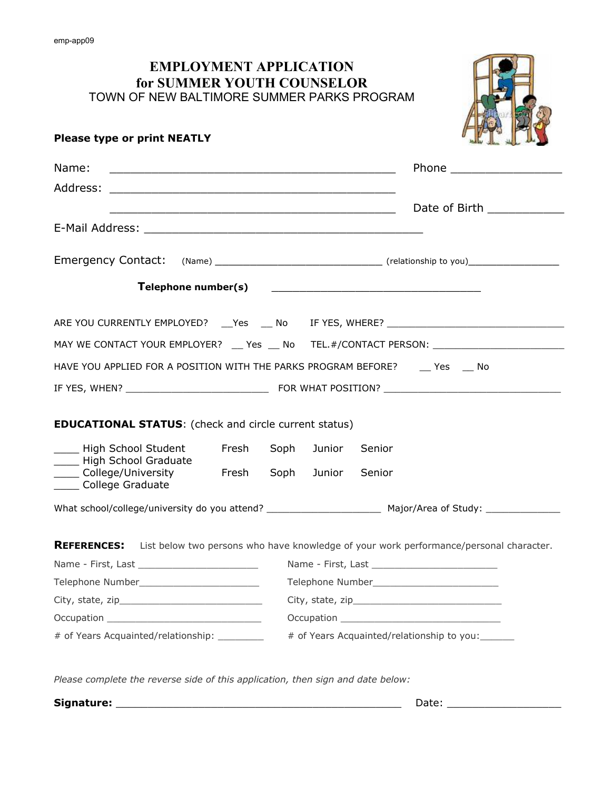## **EMPLOYMENT APPLICATION for SUMMER YOUTH COUNSELOR** TOWN OF NEW BALTIMORE SUMMER PARKS PROGRAM



## **Please type or print NEATLY**

| Name:<br>and the control of the control of the control of the control of the control of the control of the control of the |                                                                                                                |                                            |        | Phone _____________________                                                                               |  |  |
|---------------------------------------------------------------------------------------------------------------------------|----------------------------------------------------------------------------------------------------------------|--------------------------------------------|--------|-----------------------------------------------------------------------------------------------------------|--|--|
| <u> 2000 - 2000 - 2000 - 2000 - 2000 - 2000 - 2000 - 2000 - 2000 - 2000 - 2000 - 2000 - 2000 - 2000 - 2000 - 200</u>      |                                                                                                                |                                            |        | Date of Birth ____________                                                                                |  |  |
|                                                                                                                           |                                                                                                                |                                            |        |                                                                                                           |  |  |
| Emergency Contact: (Name) ________________________________(relationship to you)____________________                       |                                                                                                                |                                            |        |                                                                                                           |  |  |
| Telephone number(s)                                                                                                       |                                                                                                                |                                            |        | <u> 1980 - Andrea Station, amerikansk politiker (d. 1980)</u>                                             |  |  |
|                                                                                                                           |                                                                                                                |                                            |        |                                                                                                           |  |  |
| MAY WE CONTACT YOUR EMPLOYER? __ Yes __ No TEL.#/CONTACT PERSON: ________________                                         |                                                                                                                |                                            |        |                                                                                                           |  |  |
| HAVE YOU APPLIED FOR A POSITION WITH THE PARKS PROGRAM BEFORE? Yes No                                                     |                                                                                                                |                                            |        |                                                                                                           |  |  |
|                                                                                                                           |                                                                                                                |                                            |        |                                                                                                           |  |  |
| <b>EDUCATIONAL STATUS:</b> (check and circle current status)                                                              |                                                                                                                |                                            |        |                                                                                                           |  |  |
| High School Student<br>High School Graduate<br>College/University<br>College Graduate                                     | Fresh                                                                                                          | Soph                                       | Junior | Senior                                                                                                    |  |  |
|                                                                                                                           | <b>Eresh</b>                                                                                                   | Soph                                       | Junior | Senior                                                                                                    |  |  |
|                                                                                                                           |                                                                                                                |                                            |        |                                                                                                           |  |  |
|                                                                                                                           |                                                                                                                |                                            |        | <b>REFERENCES:</b> List below two persons who have knowledge of your work performance/personal character. |  |  |
|                                                                                                                           |                                                                                                                |                                            |        |                                                                                                           |  |  |
|                                                                                                                           |                                                                                                                |                                            |        |                                                                                                           |  |  |
|                                                                                                                           |                                                                                                                |                                            |        |                                                                                                           |  |  |
|                                                                                                                           | Occupation and the contract of the contract of the contract of the contract of the contract of the contract of |                                            |        |                                                                                                           |  |  |
| # of Years Acquainted/relationship: _________                                                                             |                                                                                                                | # of Years Acquainted/relationship to you: |        |                                                                                                           |  |  |
|                                                                                                                           |                                                                                                                |                                            |        |                                                                                                           |  |  |

*Please complete the reverse side of this application, then sign and date below:*

| Signature: |  |  |
|------------|--|--|
|------------|--|--|